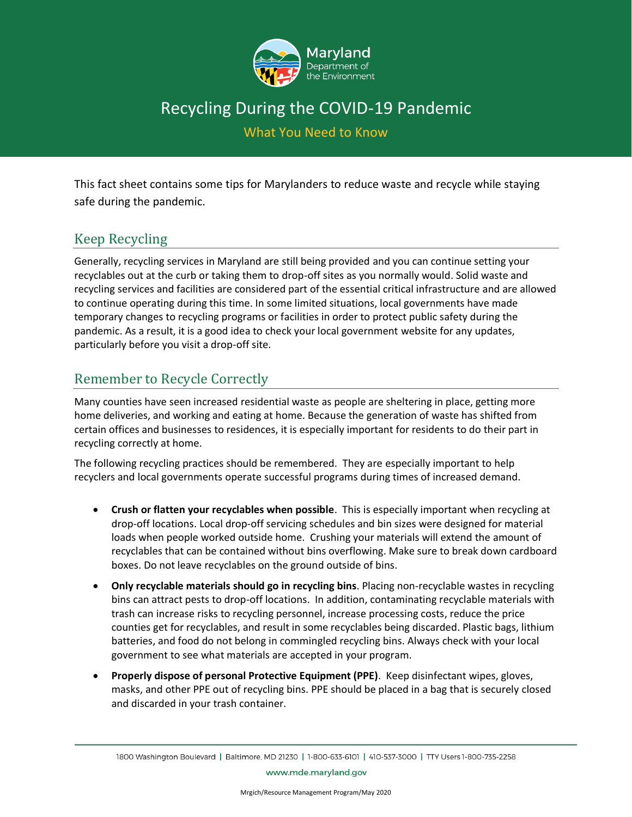

## Recycling During the COVID-19 Pandemic

What You Need to Know

This fact sheet contains some tips for Marylanders to reduce waste and recycle while staying safe during the pandemic.

## Keep Recycling

Generally, recycling services in Maryland are still being provided and you can continue setting your recyclables out at the curb or taking them to drop-off sites as you normally would. Solid waste and recycling services and facilities are considered part of the essential critical infrastructure and are allowed to continue operating during this time. In some limited situations, local governments have made temporary changes to recycling programs or facilities in order to protect public safety during the pandemic. As a result, it is a good idea to check your local government website for any updates, particularly before you visit a drop-off site.

## Remember to Recycle Correctly

Many counties have seen increased residential waste as people are sheltering in place, getting more home deliveries, and working and eating at home. Because the generation of waste has shifted from certain offices and businesses to residences, it is especially important for residents to do their part in recycling correctly at home.

The following recycling practices should be remembered. They are especially important to help recyclers and local governments operate successful programs during times of increased demand.

- **Crush or flatten your recyclables when possible**. This is especially important when recycling at drop-off locations. Local drop-off servicing schedules and bin sizes were designed for material loads when people worked outside home. Crushing your materials will extend the amount of recyclables that can be contained without bins overflowing. Make sure to break down cardboard boxes. Do not leave recyclables on the ground outside of bins.
- **Only recyclable materials should go in recycling bins**. Placing non-recyclable wastes in recycling bins can attract pests to drop-off locations. In addition, contaminating recyclable materials with trash can increase risks to recycling personnel, increase processing costs, reduce the price counties get for recyclables, and result in some recyclables being discarded. Plastic bags, lithium batteries, and food do not belong in commingled recycling bins. Always check with your local government to see what materials are accepted in your program.
- **Properly dispose of personal Protective Equipment (PPE)**. Keep disinfectant wipes, gloves, masks, and other PPE out of recycling bins. PPE should be placed in a bag that is securely closed and discarded in your trash container.

www.mde.maryland.gov